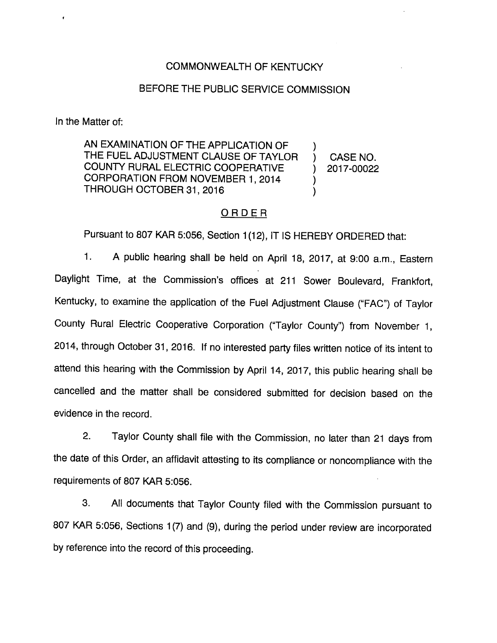## COMMONWEALTH OF KENTUCKY

## BEFORE THE PUBLIC SERVICE COMMISSION

In the Matter of:

AN EXAMINATION OF THE APPLICATION OF THE FUEL ADJUSTMENT CLAUSE OF TAYLOR COUNTY RURAL ELECTRIC COOPERATIVE CORPORATION FROM NOVEMBER 1, 2014 THROUGH OCTOBER 31, 2016

CASE NO. 2017-00022

 $\mathcal{Y}$ Υ ).

### ORDER

Pursuant to 807 KAR 5:056, Section 1(12), IT IS HEREBY ORDERED that:

1. A public hearing shall be held on April 18, 2017, at 9:00 a.m.. Eastern Daylight Time, at the Commission's offices at 211 Sower Boulevard, Frankfort, Kentucky, to examine the application of the Fuel Adjustment Clause ("FAC") of Taylor County Rural Electric Cooperative Corporation ("Taylor County") from November 1, 2014, through October 31, 2016. If no interested party files written notice of its intent to attend this hearing with the Commission by April 14, 2017, this public hearing shall be cancelled and the matter shall be considered submitted for decision based on the evidence in the record.

2. Taylor County shall file with the Commission, no later than 21 days from the date of this Order, an affidavit attesting to its compliance or noncompliance with the requirements of 807 KAR 5:056.

3. All documents that Taylor County filed with the Commission pursuant to 807 KAR 5:056, Sections 1(7) and (9), during the period under review are incorporated by reference into the record of this proceeding.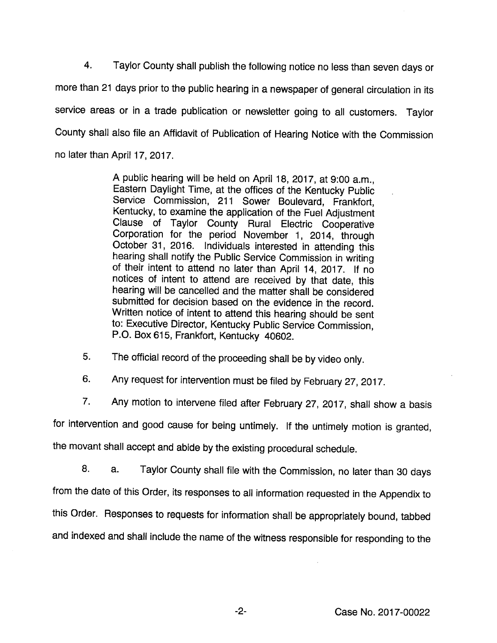4. Taylor County shall publish the following notice no less than seven days or more than 21 days prior to the public hearing in a newspaper of general circulation in its service areas or in a trade publication or newsletter going to all customers. Taylor County shall also file an Affidavit of Publication of Hearing Notice with the Commission no iater than April 17, 2017.

> A public hearing will be held on April 18, 2017, at 9:00 a.m.. Eastern Daylight Time, at the offices of the Kentucky Public Service Commission, 211 Sower Boulevard, Frankfort, Kentucky, to examine the application of the Fuel Adjustment Clause of Taylor County Rural Electric Cooperative Corporation for the period November 1, 2014, through October 31, 2016. Individuals interested in attending this hearing shall notify the Public Service Commission in writing of their intent to attend no later than April 14, 2017. If no notices of intent to attend are received by that date, this hearing will be cancelled and the matter shall be considered submitted for decision based on the evidence in the record. Written notice of intent to attend this hearing should be sent to: Executive Director, Kentucky Public Service Commission, P.O. Box 615, Frankfort, Kentucky 40602.

5. The official record of the proceeding shall be by video only.

6. Any request for intervention must be filed by February 27, 2017.

7. Any motion to intervene filed after February 27, 2017, shall show a basis

for intervention and good cause for being untimely. If the untimely motion is granted,

the movant shall accept and abide by the existing procedural schedule.

8. a. Taylor County shall file with the Commission, no later than 30 days from the date of this Order, its responses to all information requested in the Appendix to this Order. Responses to requests for information shall be appropriately bound, tabbed and indexed and shall include the name of the witness responsible for responding to the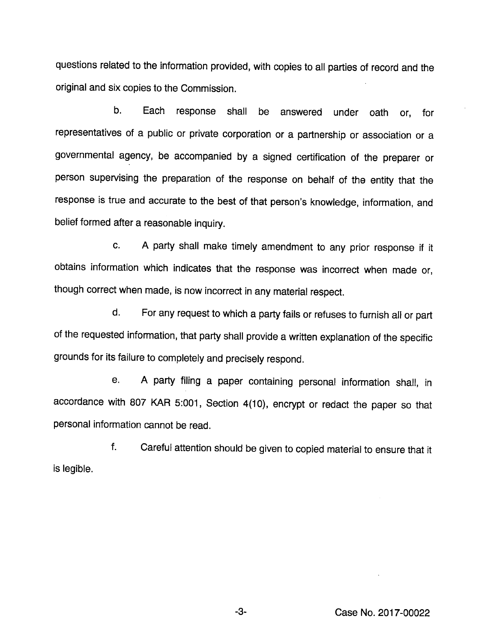questions related to the information provided, with copies to all parties of record and the original and six copies to the Commission.

b. Each response shall be answered under oath or, for representatives of a public or private corporation or a partnership or association or a governmental agency, be accompanied by a signed certification of the preparer or person supervising the preparation of the response on behalf of the entity that the response is true and accurate to the best of that person's knowledge, information, and belief formed after a reasonable inquiry.

c. A party shall make timely amendment to any prior response if it obtains information which indicates that the response was incorrect when made or, though correct when made, is now incorrect in any material respect.

d. For any request to which a party fails or refuses to furnish all or part of the requested information, that party shall provide a written explanation of the specific grounds for its failure to completely and precisely respond.

e. A party filing a paper containing personal information shall, in accordance with 807 KAR 5:001, Section 4(10), encrypt or redact the paper so that personal information cannot be read.

f. Careful attention should be given to copied material to ensure that it is legible.

Case No. 2017-00022

-3-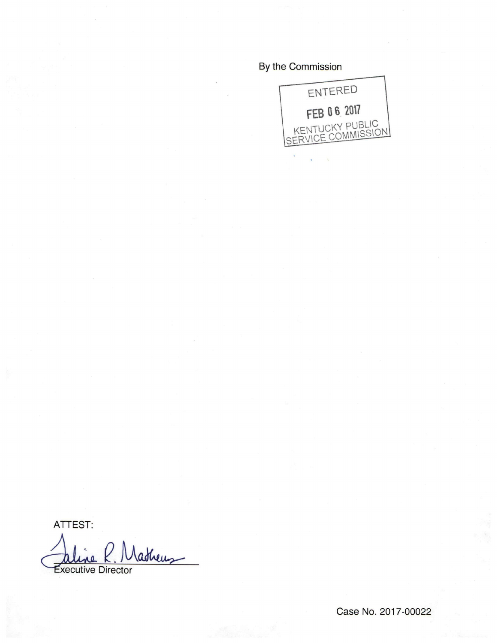# By the Commission



ATTEST:

Vatheus **Executive Director**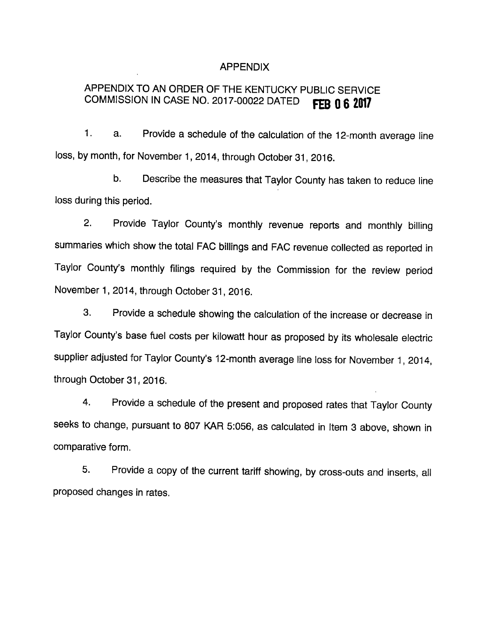### APPENDIX

# APPENDIX TO AN ORDER OF THE KENTUCKY PUBLIC SERVICE COMMISSION IN CASE NO. 2017-00022 DATED FEB  $0.62017$

1. a. Provide a schedule of the calculation of the 12-month average line loss, by month, for November 1, 2014, through October 31, 2016.

b. Describe the measures that Taylor County has taken to reduce line loss during this period.

2. Provide Taylor County's monthly revenue reports and monthly billing summaries which show the total FAC billings and FAC revenue collected as reported in Taylor County's monthly filings required by the Commission for the review period November 1, 2014, through October 31, 2016.

3. Provide a schedule showing the calculation of the increase or decrease in Taylor County's base fuel costs per kilowatt hour as proposed by its wholesale electric supplier adjusted for Taylor County's 12-month average line loss for November 1, 2014, through October 31, 2016.

4. Provide a schedule of the present and proposed rates that Taylor County seeks to change, pursuant to 807 KAR 5:056, as calculated in Item 3 above, shown in comparative form.

5. Provide a copy of the current tariff showing, by cross-outs and inserts, all proposed changes in rates.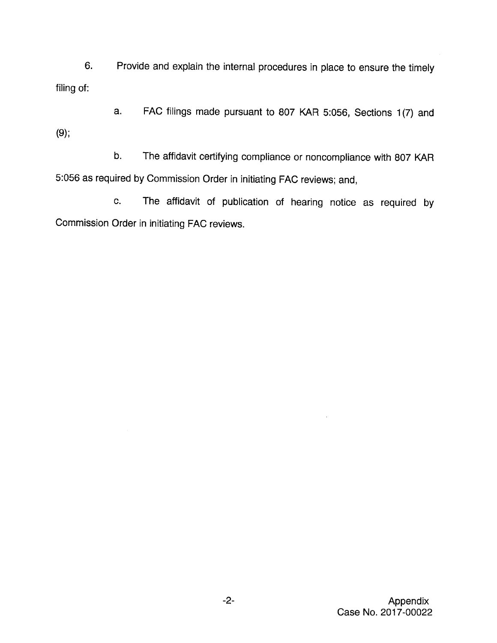6. Provide and explain the internal procedures in place to ensure the timely filing of:

a. FAC filings made pursuant to 807 KAR 5:056, Sections 1(7) and (9):

b. The affidavit certifying compliance or noncompliance with 807 KAR 5:056 as required by Commission Order in initiating FAC reviews; and,

c. The affidavit of publication of hearing notice as required by Commission Order in initiating FAC reviews.